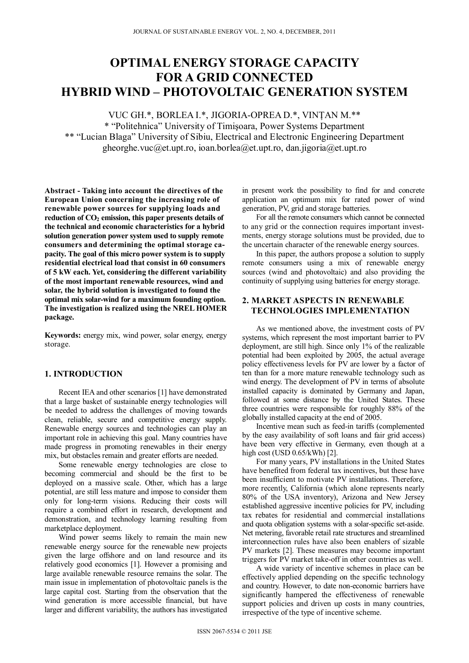# **OPTIMAL ENERGY STORAGE CAPACITY FOR A GRID CONNECTED HYBRID WIND – PHOTOVOLTAIC GENERATION SYSTEM**

VUC GH.\*, BORLEA I.\*, JIGORIA-OPREA D.\*, VINŢAN M.\*\*

\* "Politehnica" University of Timişoara, Power Systems Department \*\* "Lucian Blaga" University of Sibiu, Electrical and Electronic Engineering Department gheorghe.vuc@et.upt.ro, ioan.borlea@et.upt.ro, dan.jigoria@et.upt.ro

**Abstract - Taking into account the directives of the European Union concerning the increasing role of renewable power sources for supplying loads and**  reduction of  $CO<sub>2</sub>$  emission, this paper presents details of **the technical and economic characteristics for a hybrid solution generation power system used to supply remote consumers and determining the optimal storage capacity. The goal of this micro power system is to supply residential electrical load that consist in 60 consumers of 5 kW each. Yet, considering the different variability of the most important renewable resources, wind and solar, the hybrid solution is investigated to found the optimal mix solar-wind for a maximum founding option. The investigation is realized using the NREL HOMER package.** 

**Keywords:** energy mix, wind power, solar energy, energy storage.

#### **1. INTRODUCTION**

Recent IEA and other scenarios [1] have demonstrated that a large basket of sustainable energy technologies will be needed to address the challenges of moving towards clean, reliable, secure and competitive energy supply. Renewable energy sources and technologies can play an important role in achieving this goal. Many countries have made progress in promoting renewables in their energy mix, but obstacles remain and greater efforts are needed.

Some renewable energy technologies are close to becoming commercial and should be the first to be deployed on a massive scale. Other, which has a large potential, are still less mature and impose to consider them only for long-term visions. Reducing their costs will require a combined effort in research, development and demonstration, and technology learning resulting from marketplace deployment.

Wind power seems likely to remain the main new renewable energy source for the renewable new projects given the large offshore and on land resource and its relatively good economics [1]. However a promising and large available renewable resource remains the solar. The main issue in implementation of photovoltaic panels is the large capital cost. Starting from the observation that the wind generation is more accessible financial, but have larger and different variability, the authors has investigated

in present work the possibility to find for and concrete application an optimum mix for rated power of wind generation, PV, grid and storage batteries.

For all the remote consumers which cannot be connected to any grid or the connection requires important investments, energy storage solutions must be provided, due to the uncertain character of the renewable energy sources.

In this paper, the authors propose a solution to supply remote consumers using a mix of renewable energy sources (wind and photovoltaic) and also providing the continuity of supplying using batteries for energy storage.

## **2. MARKET ASPECTS IN RENEWABLE TECHNOLOGIES IMPLEMENTATION**

As we mentioned above, the investment costs of PV systems, which represent the most important barrier to PV deployment, are still high. Since only 1% of the realizable potential had been exploited by 2005, the actual average policy effectiveness levels for PV are lower by a factor of ten than for a more mature renewable technology such as wind energy. The development of PV in terms of absolute installed capacity is dominated by Germany and Japan, followed at some distance by the United States. These three countries were responsible for roughly 88% of the globally installed capacity at the end of 2005.

Incentive mean such as feed-in tariffs (complemented by the easy availability of soft loans and fair grid access) have been very effective in Germany, even though at a high cost (USD 0.65/kWh) [2].

For many years, PV installations in the United States have benefited from federal tax incentives, but these have been insufficient to motivate PV installations. Therefore, more recently, California (which alone represents nearly 80% of the USA inventory), Arizona and New Jersey established aggressive incentive policies for PV, including tax rebates for residential and commercial installations and quota obligation systems with a solar-specific set-aside. Net metering, favorable retail rate structures and streamlined interconnection rules have also been enablers of sizable PV markets [2]. These measures may become important triggers for PV market take-off in other countries as well.

A wide variety of incentive schemes in place can be effectively applied depending on the specific technology and country. However, to date non-economic barriers have significantly hampered the effectiveness of renewable support policies and driven up costs in many countries, irrespective of the type of incentive scheme.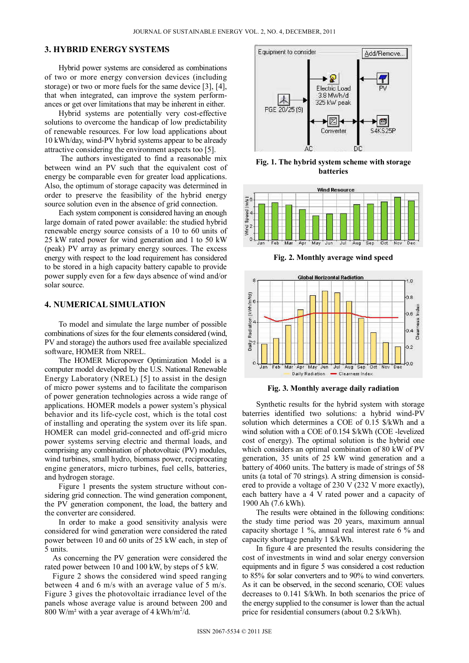#### **3. HYBRID ENERGY SYSTEMS**

Hybrid power systems are considered as combinations of two or more energy conversion devices (including storage) or two or more fuels for the same device [3], [4], that when integrated, can improve the system performances or get over limitations that may be inherent in either.

Hybrid systems are potentially very cost-effective solutions to overcome the handicap of low predictability of renewable resources. For low load applications about 10 kWh/day, wind-PV hybrid systems appear to be already attractive considering the environment aspects too [5].

 The authors investigated to find a reasonable mix between wind an PV such that the equivalent cost of energy be comparable even for greater load applications. Also, the optimum of storage capacity was determined in order to preserve the feasibility of the hybrid energy source solution even in the absence of grid connection.

Each system component is considered having an enough large domain of rated power available: the studied hybrid renewable energy source consists of a 10 to 60 units of 25 kW rated power for wind generation and 1 to 50 kW (peak) PV array as primary energy sources. The excess energy with respect to the load requirement has considered to be stored in a high capacity battery capable to provide power supply even for a few days absence of wind and/or solar source.

#### **4. NUMERICAL SIMULATION**

To model and simulate the large number of possible combinations of sizes for the four elements considered (wind, PV and storage) the authors used free available specialized software, HOMER from NREL.

The HOMER Micropower Optimization Model is a computer model developed by the U.S. National Renewable Energy Laboratory (NREL) [5] to assist in the design of micro power systems and to facilitate the comparison of power generation technologies across a wide range of applications. HOMER models a power system's physical behavior and its life-cycle cost, which is the total cost of installing and operating the system over its life span. HOMER can model grid-connected and off-grid micro power systems serving electric and thermal loads, and comprising any combination of photovoltaic (PV) modules, wind turbines, small hydro, biomass power, reciprocating engine generators, micro turbines, fuel cells, batteries, and hydrogen storage.

Figure 1 presents the system structure without considering grid connection. The wind generation component, the PV generation component, the load, the battery and the converter are considered.

In order to make a good sensitivity analysis were considered for wind generation were considered the rated power between 10 and 60 units of 25 kW each, in step of 5 units.

As concerning the PV generation were considered the rated power between 10 and 100 kW, by steps of 5 kW.

Figure 2 shows the considered wind speed ranging between 4 and 6 m/s with an average value of 5 m/s. Figure 3 gives the photovoltaic irradiance level of the panels whose average value is around between 200 and  $800 \text{ W/m}^2$  with a year average of 4 kWh/m<sup>2</sup>/d.



**Fig. 1. The hybrid system scheme with storage batteries** 



**Fig. 2. Monthly average wind speed** 



**Fig. 3. Monthly average daily radiation** 

Synthetic results for the hybrid system with storage baterries identified two solutions: a hybrid wind-PV solution which determines a COE of 0.15 \$/kWh and a wind solution with a COE of 0.154 \$/kWh (COE -levelized cost of energy). The optimal solution is the hybrid one which considers an optimal combination of 80 kW of PV generation, 35 units of 25 kW wind generation and a battery of 4060 units. The battery is made of strings of 58 units (a total of 70 strings). A string dimension is considered to provide a voltage of 230 V (232 V more exactly), each battery have a 4 V rated power and a capacity of 1900 Ah (7.6 kWh).

The results were obtained in the following conditions: the study time period was 20 years, maximum annual capacity shortage 1 %, annual real interest rate 6 % and capacity shortage penalty 1 \$/kWh.

In figure 4 are presented the results considering the cost of investments in wind and solar energy conversion equipments and in figure 5 was considered a cost reduction to 85% for solar converters and to 90% to wind converters. As it can be observed, in the second scenario, COE values decreases to 0.141 \$/kWh. In both scenarios the price of the energy supplied to the consumer is lower than the actual price for residential consumers (about 0.2 \$/kWh).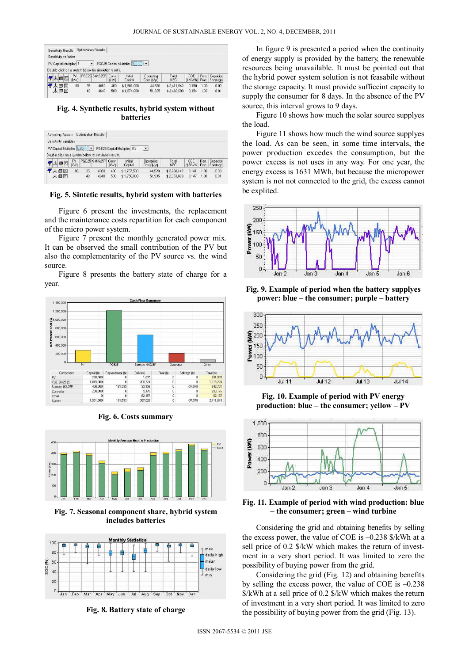| Sensitivity Results                                    |             |    | Optimization Results |      |                          |                           |                     |                       |       |                        |
|--------------------------------------------------------|-------------|----|----------------------|------|--------------------------|---------------------------|---------------------|-----------------------|-------|------------------------|
| Sensitivity variables<br>PV Capital Multiplier 1       |             | ۷  |                      |      | PGE25 Capital Multiplier |                           |                     |                       |       |                        |
|                                                        |             |    |                      |      |                          |                           |                     |                       |       |                        |
| Double click on a system below for simulation results. |             |    |                      |      |                          |                           |                     |                       |       |                        |
| 人口区                                                    | PV.<br>IRW1 |    | PGE25 S4KS25P Conv.  | IkW) | Initial<br>Capital       | Operating<br>Cost (\$/ur) | Total<br><b>NPC</b> | CDE<br>(\$/kWh) Frac. | Ren.  | Capacity:<br>Shortage! |
| 人口区                                                    | 80          | 35 | 4060                 | 400  | \$1,901.000              | 44.520                    | \$2.411.642         | 0.150                 | 1.00. | 0.00                   |

### **Fig. 4. Synthetic results, hybrid system without batteries**

| PV Capital Multiplier 0.85                             |      |                        |                |       |                              |              |             |          |       |          |
|--------------------------------------------------------|------|------------------------|----------------|-------|------------------------------|--------------|-------------|----------|-------|----------|
|                                                        |      | $\left  \cdot \right $ |                |       | PGE25 Capital Multiplier 0.9 | 츠            |             |          |       |          |
| Double click on a system below for simulation results. |      |                        |                |       |                              |              |             |          |       |          |
|                                                        | PV   |                        | PGE25 S4KS25PI | Conv. | Initial                      | Operating    | Total       | COE      | Ren.  | Capacity |
| 人曰冈                                                    | (kW) |                        |                | [kw]  | Capital                      | Cost (\$/vr) | <b>NPC</b>  | (\$/kWh) | Frac. | Shortage |
| 日図                                                     | 80   | 35                     | 4060           | 400   | \$1,757,500                  | 44.520       | \$2.268.142 | 0.141    | 1.00  | 0.00     |

#### **Fig. 5. Sintetic results, hybrid system with batteries**

Figure 6 present the investments, the replacement and the maintenance costs repartition for each component of the micro power system.

Figure 7 present the monthly generated power mix. It can be observed the small contribution of the PV but also the complementarity of the PV source vs. the wind source.

Figure 8 presents the battery state of charge for a year.



**Fig. 6. Costs summary** 



**Fig. 7. Seasonal component share, hybrid system includes batteries** 



**Fig. 8. Battery state of charge** 

In figure 9 is presented a period when the continuity of energy supply is provided by the battery, the renewable resources being unavailable. It must be pointed out that the hybrid power system solution is not feasabile without the storage capacity. It must provide sufficeint capacity to supply the consumer for 8 days. In the absence of the PV source, this interval grows to 9 days.

Figure 10 shows how much the solar source supplyes the load.

Figure 11 shows how much the wind source supplyes the load. As can be seen, in some time intervals, the power production excedes the consumption, but the power excess is not uses in any way. For one year, the energy excess is 1631 MWh, but because the micropower system is not not connected to the grid, the excess cannot be explited.



**Fig. 9. Example of period when the battery supplyes power: blue – the consumer; purple – battery** 



**Fig. 10. Example of period with PV energy production: blue – the consumer; yellow – PV** 





Considering the grid and obtaining benefits by selling the excess power, the value of COE is –0.238 \$/kWh at a sell price of 0.2 \$/kW which makes the return of investment in a very short period. It was limited to zero the possibility of buying power from the grid.

Considering the grid (Fig. 12) and obtaining benefits by selling the excess power, the value of COE is –0.238 \$/kWh at a sell price of 0.2 \$/kW which makes the return of investment in a very short period. It was limited to zero the possibility of buying power from the grid (Fig. 13).